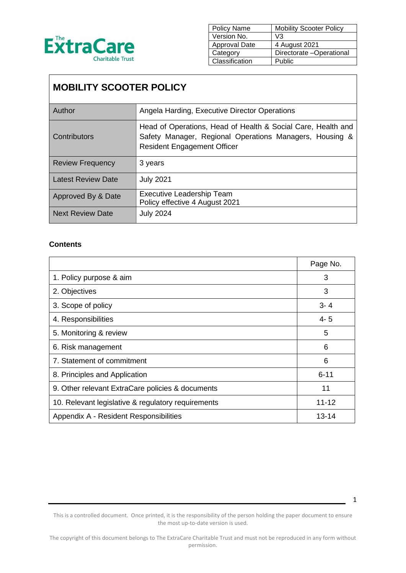

| Policy Name          | <b>Mobility Scooter Policy</b> |
|----------------------|--------------------------------|
| Version No.          | V3                             |
| <b>Approval Date</b> | 4 August 2021                  |
| Category             | Directorate -Operational       |
| Classification       | Public                         |

# **MOBILITY SCOOTER POLICY**

| Author                    | Angela Harding, Executive Director Operations                                                                                                                 |
|---------------------------|---------------------------------------------------------------------------------------------------------------------------------------------------------------|
| Contributors              | Head of Operations, Head of Health & Social Care, Health and<br>Safety Manager, Regional Operations Managers, Housing &<br><b>Resident Engagement Officer</b> |
| <b>Review Frequency</b>   | 3 years                                                                                                                                                       |
| <b>Latest Review Date</b> | <b>July 2021</b>                                                                                                                                              |
| Approved By & Date        | <b>Executive Leadership Team</b><br>Policy effective 4 August 2021                                                                                            |
| <b>Next Review Date</b>   | <b>July 2024</b>                                                                                                                                              |

### **Contents**

|                                                    | Page No.  |
|----------------------------------------------------|-----------|
| 1. Policy purpose & aim                            | 3         |
| 2. Objectives                                      | 3         |
| 3. Scope of policy                                 | $3 - 4$   |
| 4. Responsibilities                                | $4 - 5$   |
| 5. Monitoring & review                             | 5         |
| 6. Risk management                                 | 6         |
| 7. Statement of commitment                         | 6         |
| 8. Principles and Application                      | $6 - 11$  |
| 9. Other relevant ExtraCare policies & documents   | 11        |
| 10. Relevant legislative & regulatory requirements | $11 - 12$ |
| Appendix A - Resident Responsibilities             | 13-14     |

This is a controlled document. Once printed, it is the responsibility of the person holding the paper document to ensure the most up-to-date version is used.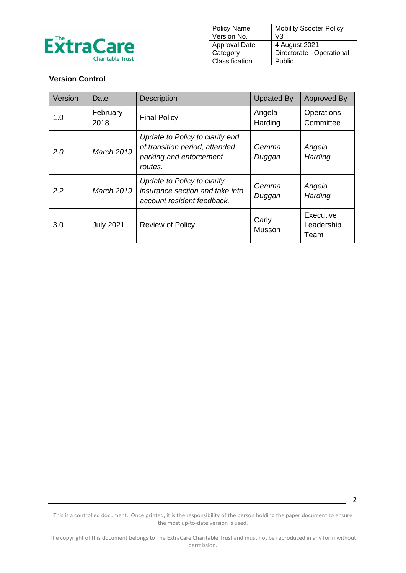

| <b>Policy Name</b> | <b>Mobility Scooter Policy</b> |
|--------------------|--------------------------------|
| Version No.        | V3                             |
| Approval Date      | 4 August 2021                  |
| Category           | Directorate -Operational       |
| Classification     | Public                         |

### **Version Control**

| Version | Date              | <b>Description</b>                                                                                      | <b>Updated By</b> | Approved By                     |
|---------|-------------------|---------------------------------------------------------------------------------------------------------|-------------------|---------------------------------|
| 1.0     | February<br>2018  | <b>Final Policy</b>                                                                                     | Angela<br>Harding | Operations<br>Committee         |
| 2.0     | <b>March 2019</b> | Update to Policy to clarify end<br>of transition period, attended<br>parking and enforcement<br>routes. | Gemma<br>Duggan   | Angela<br>Harding               |
| 2.2     | <b>March 2019</b> | Update to Policy to clarify<br>insurance section and take into<br>account resident feedback.            | Gemma<br>Duggan   | Angela<br>Harding               |
| 3.0     | <b>July 2021</b>  | <b>Review of Policy</b>                                                                                 | Carly<br>Musson   | Executive<br>Leadership<br>Team |

This is a controlled document. Once printed, it is the responsibility of the person holding the paper document to ensure the most up-to-date version is used.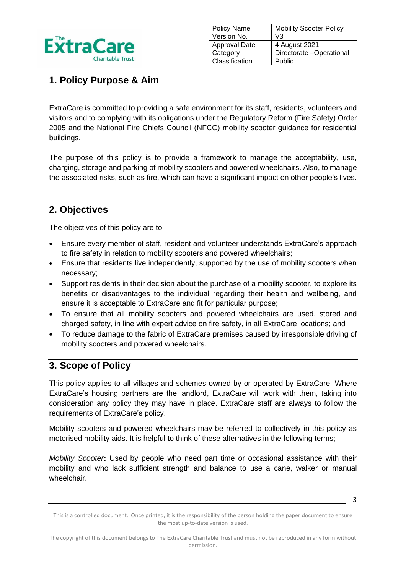

| <b>Policy Name</b>   | <b>Mobility Scooter Policy</b> |
|----------------------|--------------------------------|
| Version No.          | V3                             |
| <b>Approval Date</b> | 4 August 2021                  |
| Category             | Directorate -Operational       |
| Classification       | Public                         |

# **1. Policy Purpose & Aim**

ExtraCare is committed to providing a safe environment for its staff, residents, volunteers and visitors and to complying with its obligations under the Regulatory Reform (Fire Safety) Order 2005 and the National Fire Chiefs Council (NFCC) mobility scooter guidance for residential buildings.

The purpose of this policy is to provide a framework to manage the acceptability, use, charging, storage and parking of mobility scooters and powered wheelchairs. Also, to manage the associated risks, such as fire, which can have a significant impact on other people's lives.

# **2. Objectives**

The objectives of this policy are to:

- Ensure every member of staff, resident and volunteer understands ExtraCare's approach to fire safety in relation to mobility scooters and powered wheelchairs;
- Ensure that residents live independently, supported by the use of mobility scooters when necessary;
- Support residents in their decision about the purchase of a mobility scooter, to explore its benefits or disadvantages to the individual regarding their health and wellbeing, and ensure it is acceptable to ExtraCare and fit for particular purpose;
- To ensure that all mobility scooters and powered wheelchairs are used, stored and charged safety, in line with expert advice on fire safety, in all ExtraCare locations; and
- To reduce damage to the fabric of ExtraCare premises caused by irresponsible driving of mobility scooters and powered wheelchairs.

# **3. Scope of Policy**

This policy applies to all villages and schemes owned by or operated by ExtraCare. Where ExtraCare's housing partners are the landlord, ExtraCare will work with them, taking into consideration any policy they may have in place. ExtraCare staff are always to follow the requirements of ExtraCare's policy.

Mobility scooters and powered wheelchairs may be referred to collectively in this policy as motorised mobility aids. It is helpful to think of these alternatives in the following terms;

*Mobility Scooter***:** Used by people who need part time or occasional assistance with their mobility and who lack sufficient strength and balance to use a cane, walker or manual wheelchair.

This is a controlled document. Once printed, it is the responsibility of the person holding the paper document to ensure the most up-to-date version is used.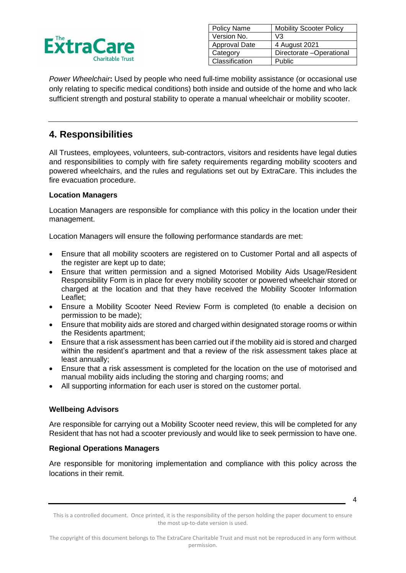

| <b>Policy Name</b>   | <b>Mobility Scooter Policy</b> |
|----------------------|--------------------------------|
| Version No.          | V3                             |
| <b>Approval Date</b> | 4 August 2021                  |
| Category             | Directorate -Operational       |
| Classification       | Public                         |

*Power Wheelchair***:** Used by people who need full-time mobility assistance (or occasional use only relating to specific medical conditions) both inside and outside of the home and who lack sufficient strength and postural stability to operate a manual wheelchair or mobility scooter.

# **4. Responsibilities**

All Trustees, employees, volunteers, sub-contractors, visitors and residents have legal duties and responsibilities to comply with fire safety requirements regarding mobility scooters and powered wheelchairs, and the rules and regulations set out by ExtraCare. This includes the fire evacuation procedure.

### **Location Managers**

Location Managers are responsible for compliance with this policy in the location under their management.

Location Managers will ensure the following performance standards are met:

- Ensure that all mobility scooters are registered on to Customer Portal and all aspects of the register are kept up to date;
- Ensure that written permission and a signed Motorised Mobility Aids Usage/Resident Responsibility Form is in place for every mobility scooter or powered wheelchair stored or charged at the location and that they have received the Mobility Scooter Information Leaflet;
- Ensure a Mobility Scooter Need Review Form is completed (to enable a decision on permission to be made);
- Ensure that mobility aids are stored and charged within designated storage rooms or within the Residents apartment;
- Ensure that a risk assessment has been carried out if the mobility aid is stored and charged within the resident's apartment and that a review of the risk assessment takes place at least annually;
- Ensure that a risk assessment is completed for the location on the use of motorised and manual mobility aids including the storing and charging rooms; and
- All supporting information for each user is stored on the customer portal.

### **Wellbeing Advisors**

Are responsible for carrying out a Mobility Scooter need review, this will be completed for any Resident that has not had a scooter previously and would like to seek permission to have one.

### **Regional Operations Managers**

Are responsible for monitoring implementation and compliance with this policy across the locations in their remit.

This is a controlled document. Once printed, it is the responsibility of the person holding the paper document to ensure the most up-to-date version is used.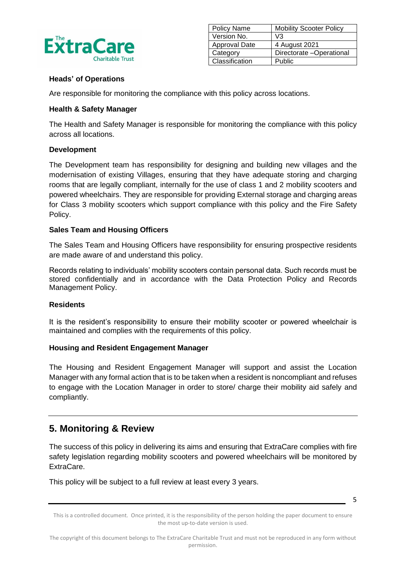

| <b>Policy Name</b>   | <b>Mobility Scooter Policy</b> |
|----------------------|--------------------------------|
| Version No.          | V3                             |
| <b>Approval Date</b> | 4 August 2021                  |
| Category             | Directorate -Operational       |
| Classification       | Public                         |

### **Heads' of Operations**

Are responsible for monitoring the compliance with this policy across locations.

### **Health & Safety Manager**

The Health and Safety Manager is responsible for monitoring the compliance with this policy across all locations.

### **Development**

The Development team has responsibility for designing and building new villages and the modernisation of existing Villages, ensuring that they have adequate storing and charging rooms that are legally compliant, internally for the use of class 1 and 2 mobility scooters and powered wheelchairs. They are responsible for providing External storage and charging areas for Class 3 mobility scooters which support compliance with this policy and the Fire Safety Policy.

### **Sales Team and Housing Officers**

The Sales Team and Housing Officers have responsibility for ensuring prospective residents are made aware of and understand this policy.

Records relating to individuals' mobility scooters contain personal data. Such records must be stored confidentially and in accordance with the Data Protection Policy and Records Management Policy.

### **Residents**

It is the resident's responsibility to ensure their mobility scooter or powered wheelchair is maintained and complies with the requirements of this policy.

### **Housing and Resident Engagement Manager**

The Housing and Resident Engagement Manager will support and assist the Location Manager with any formal action that is to be taken when a resident is noncompliant and refuses to engage with the Location Manager in order to store/ charge their mobility aid safely and compliantly.

## **5. Monitoring & Review**

The success of this policy in delivering its aims and ensuring that ExtraCare complies with fire safety legislation regarding mobility scooters and powered wheelchairs will be monitored by ExtraCare.

This policy will be subject to a full review at least every 3 years.

This is a controlled document. Once printed, it is the responsibility of the person holding the paper document to ensure the most up-to-date version is used.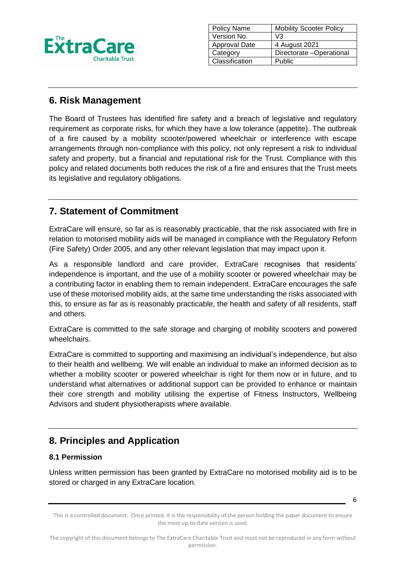

| Policy Name          | <b>Mobility Scooter Policy</b> |
|----------------------|--------------------------------|
| Version No.          | V3                             |
| <b>Approval Date</b> | 4 August 2021                  |
| Category             | Directorate -Operational       |
| Classification       | Public                         |
|                      |                                |

# **6. Risk Management**

The Board of Trustees has identified fire safety and a breach of legislative and regulatory requirement as corporate risks, for which they have a low tolerance (appetite). The outbreak of a fire caused by a mobility scooter/powered wheelchair or interference with escape arrangements through non-compliance with this policy, not only represent a risk to individual safety and property, but a financial and reputational risk for the Trust. Compliance with this policy and related documents both reduces the risk of a fire and ensures that the Trust meets its legislative and regulatory obligations.

# **7. Statement of Commitment**

ExtraCare will ensure, so far as is reasonably practicable, that the risk associated with fire in relation to motorised mobility aids will be managed in compliance with the Regulatory Reform (Fire Safety) Order 2005, and any other relevant legislation that may impact upon it.

As a responsible landlord and care provider, ExtraCare recognises that residents' independence is important, and the use of a mobility scooter or powered wheelchair may be a contributing factor in enabling them to remain independent. ExtraCare encourages the safe use of these motorised mobility aids, at the same time understanding the risks associated with this, to ensure as far as is reasonably practicable, the health and safety of all residents, staff and others.

ExtraCare is committed to the safe storage and charging of mobility scooters and powered wheelchairs.

ExtraCare is committed to supporting and maximising an individual's independence, but also to their health and wellbeing. We will enable an individual to make an informed decision as to whether a mobility scooter or powered wheelchair is right for them now or in future, and to understand what alternatives or additional support can be provided to enhance or maintain their core strength and mobility utilising the expertise of Fitness Instructors, Wellbeing Advisors and student physiotherapists where available.

# **8. Principles and Application**

### **8.1 Permission**

Unless written permission has been granted by ExtraCare no motorised mobility aid is to be stored or charged in any ExtraCare location.

This is a controlled document. Once printed, it is the responsibility of the person holding the paper document to ensure the most up-to-date version is used.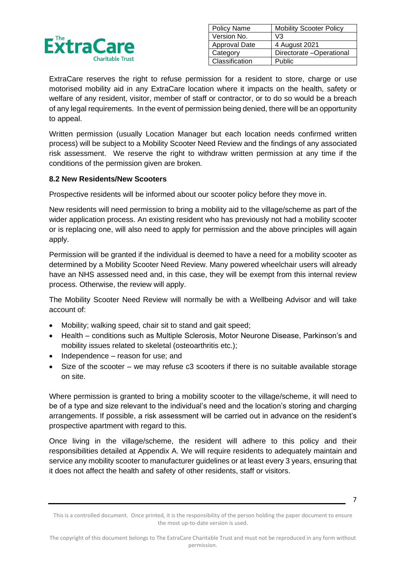

| <b>Policy Name</b> | <b>Mobility Scooter Policy</b> |
|--------------------|--------------------------------|
| Version No.        | V3                             |
| Approval Date      | 4 August 2021                  |
| Category           | Directorate -Operational       |
| Classification     | Public                         |

ExtraCare reserves the right to refuse permission for a resident to store, charge or use motorised mobility aid in any ExtraCare location where it impacts on the health, safety or welfare of any resident, visitor, member of staff or contractor, or to do so would be a breach of any legal requirements. In the event of permission being denied, there will be an opportunity to appeal.

Written permission (usually Location Manager but each location needs confirmed written process) will be subject to a Mobility Scooter Need Review and the findings of any associated risk assessment. We reserve the right to withdraw written permission at any time if the conditions of the permission given are broken.

### **8.2 New Residents/New Scooters**

Prospective residents will be informed about our scooter policy before they move in.

New residents will need permission to bring a mobility aid to the village/scheme as part of the wider application process. An existing resident who has previously not had a mobility scooter or is replacing one, will also need to apply for permission and the above principles will again apply.

Permission will be granted if the individual is deemed to have a need for a mobility scooter as determined by a Mobility Scooter Need Review. Many powered wheelchair users will already have an NHS assessed need and, in this case, they will be exempt from this internal review process. Otherwise, the review will apply.

The Mobility Scooter Need Review will normally be with a Wellbeing Advisor and will take account of:

- Mobility; walking speed, chair sit to stand and gait speed;
- Health conditions such as Multiple Sclerosis, Motor Neurone Disease, Parkinson's and mobility issues related to skeletal (osteoarthritis etc.);
- Independence reason for use; and
- Size of the scooter we may refuse c3 scooters if there is no suitable available storage on site.

Where permission is granted to bring a mobility scooter to the village/scheme, it will need to be of a type and size relevant to the individual's need and the location's storing and charging arrangements. If possible, a risk assessment will be carried out in advance on the resident's prospective apartment with regard to this.

Once living in the village/scheme, the resident will adhere to this policy and their responsibilities detailed at Appendix A. We will require residents to adequately maintain and service any mobility scooter to manufacturer guidelines or at least every 3 years, ensuring that it does not affect the health and safety of other residents, staff or visitors.

This is a controlled document. Once printed, it is the responsibility of the person holding the paper document to ensure the most up-to-date version is used.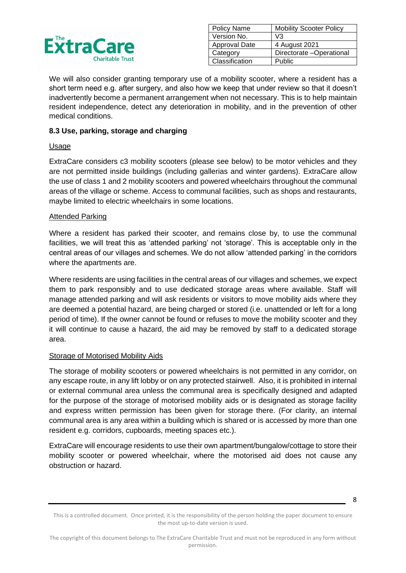

| Policy Name          | <b>Mobility Scooter Policy</b> |
|----------------------|--------------------------------|
| Version No.          | V3                             |
| <b>Approval Date</b> | 4 August 2021                  |
| Category             | Directorate -Operational       |
| Classification       | <b>Public</b>                  |

We will also consider granting temporary use of a mobility scooter, where a resident has a short term need e.g. after surgery, and also how we keep that under review so that it doesn't inadvertently become a permanent arrangement when not necessary. This is to help maintain resident independence, detect any deterioration in mobility, and in the prevention of other medical conditions.

### **8.3 Use, parking, storage and charging**

### **Usage**

ExtraCare considers c3 mobility scooters (please see below) to be motor vehicles and they are not permitted inside buildings (including gallerias and winter gardens). ExtraCare allow the use of class 1 and 2 mobility scooters and powered wheelchairs throughout the communal areas of the village or scheme. Access to communal facilities, such as shops and restaurants, maybe limited to electric wheelchairs in some locations.

### Attended Parking

Where a resident has parked their scooter, and remains close by, to use the communal facilities, we will treat this as 'attended parking' not 'storage'. This is acceptable only in the central areas of our villages and schemes. We do not allow 'attended parking' in the corridors where the apartments are.

Where residents are using facilities in the central areas of our villages and schemes, we expect them to park responsibly and to use dedicated storage areas where available. Staff will manage attended parking and will ask residents or visitors to move mobility aids where they are deemed a potential hazard, are being charged or stored (i.e. unattended or left for a long period of time). If the owner cannot be found or refuses to move the mobility scooter and they it will continue to cause a hazard, the aid may be removed by staff to a dedicated storage area.

### Storage of Motorised Mobility Aids

The storage of mobility scooters or powered wheelchairs is not permitted in any corridor, on any escape route, in any lift lobby or on any protected stairwell. Also, it is prohibited in internal or external communal area unless the communal area is specifically designed and adapted for the purpose of the storage of motorised mobility aids or is designated as storage facility and express written permission has been given for storage there. (For clarity, an internal communal area is any area within a building which is shared or is accessed by more than one resident e.g. corridors, cupboards, meeting spaces etc.).

ExtraCare will encourage residents to use their own apartment/bungalow/cottage to store their mobility scooter or powered wheelchair, where the motorised aid does not cause any obstruction or hazard.

<sup>8</sup>

This is a controlled document. Once printed, it is the responsibility of the person holding the paper document to ensure the most up-to-date version is used.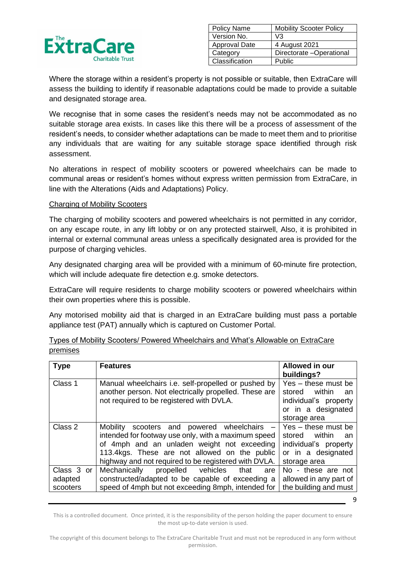

| <b>Policy Name</b>   | <b>Mobility Scooter Policy</b> |
|----------------------|--------------------------------|
| Version No.          | V3                             |
| <b>Approval Date</b> | 4 August 2021                  |
| Category             | Directorate -Operational       |
| Classification       | Public                         |

Where the storage within a resident's property is not possible or suitable, then ExtraCare will assess the building to identify if reasonable adaptations could be made to provide a suitable and designated storage area.

We recognise that in some cases the resident's needs may not be accommodated as no suitable storage area exists. In cases like this there will be a process of assessment of the resident's needs, to consider whether adaptations can be made to meet them and to prioritise any individuals that are waiting for any suitable storage space identified through risk assessment.

No alterations in respect of mobility scooters or powered wheelchairs can be made to communal areas or resident's homes without express written permission from ExtraCare, in line with the Alterations (Aids and Adaptations) Policy.

#### Charging of Mobility Scooters

The charging of mobility scooters and powered wheelchairs is not permitted in any corridor, on any escape route, in any lift lobby or on any protected stairwell, Also, it is prohibited in internal or external communal areas unless a specifically designated area is provided for the purpose of charging vehicles.

Any designated charging area will be provided with a minimum of 60-minute fire protection, which will include adequate fire detection e.g. smoke detectors.

ExtraCare will require residents to charge mobility scooters or powered wheelchairs within their own properties where this is possible.

Any motorised mobility aid that is charged in an ExtraCare building must pass a portable appliance test (PAT) annually which is captured on Customer Portal.

| <b>Type</b>                       | <b>Features</b>                                                                                                                                                                                                                                               | Allowed in our<br>buildings?                                                                                 |
|-----------------------------------|---------------------------------------------------------------------------------------------------------------------------------------------------------------------------------------------------------------------------------------------------------------|--------------------------------------------------------------------------------------------------------------|
| Class 1                           | Manual wheelchairs i.e. self-propelled or pushed by<br>another person. Not electrically propelled. These are<br>not required to be registered with DVLA.                                                                                                      | Yes - these must be<br>within<br>stored<br>an<br>individual's property<br>or in a designated<br>storage area |
| Class 2                           | Mobility<br>scooters and powered wheelchairs -<br>intended for footway use only, with a maximum speed<br>of 4mph and an unladen weight not exceeding<br>113.4kgs. These are not allowed on the public<br>highway and not required to be registered with DVLA. | Yes - these must be<br>stored within<br>an<br>individual's property<br>or in a designated<br>storage area    |
| Class 3 or<br>adapted<br>scooters | Mechanically<br>propelled vehicles<br>that<br>are<br>constructed/adapted to be capable of exceeding a<br>speed of 4mph but not exceeding 8mph, intended for                                                                                                   | No - these are not<br>allowed in any part of<br>the building and must                                        |

| Types of Mobility Scooters/ Powered Wheelchairs and What's Allowable on ExtraCare |  |  |  |  |
|-----------------------------------------------------------------------------------|--|--|--|--|
| premises                                                                          |  |  |  |  |

This is a controlled document. Once printed, it is the responsibility of the person holding the paper document to ensure the most up-to-date version is used.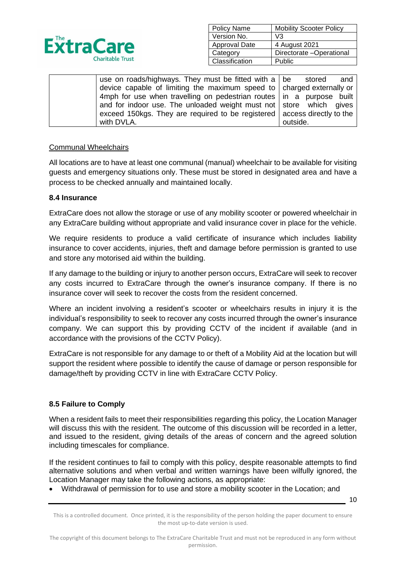

| Policy Name    | <b>Mobility Scooter Policy</b> |
|----------------|--------------------------------|
| Version No.    | V3                             |
| Approval Date  | 4 August 2021                  |
| Category       | Directorate -Operational       |
| Classification | Public                         |

| use on roads/highways. They must be fitted with a $\vert$ be stored        |          | and |
|----------------------------------------------------------------------------|----------|-----|
| device capable of limiting the maximum speed to   charged externally or    |          |     |
| 4mph for use when travelling on pedestrian routes in a purpose built       |          |     |
| and for indoor use. The unloaded weight must not   store which gives       |          |     |
| exceed 150kgs. They are required to be registered   access directly to the |          |     |
| with DVLA.                                                                 | outside. |     |

### Communal Wheelchairs

All locations are to have at least one communal (manual) wheelchair to be available for visiting guests and emergency situations only. These must be stored in designated area and have a process to be checked annually and maintained locally.

#### **8.4 Insurance**

ExtraCare does not allow the storage or use of any mobility scooter or powered wheelchair in any ExtraCare building without appropriate and valid insurance cover in place for the vehicle.

We require residents to produce a valid certificate of insurance which includes liability insurance to cover accidents, injuries, theft and damage before permission is granted to use and store any motorised aid within the building.

If any damage to the building or injury to another person occurs, ExtraCare will seek to recover any costs incurred to ExtraCare through the owner's insurance company. If there is no insurance cover will seek to recover the costs from the resident concerned.

Where an incident involving a resident's scooter or wheelchairs results in injury it is the individual's responsibility to seek to recover any costs incurred through the owner's insurance company. We can support this by providing CCTV of the incident if available (and in accordance with the provisions of the CCTV Policy).

ExtraCare is not responsible for any damage to or theft of a Mobility Aid at the location but will support the resident where possible to identify the cause of damage or person responsible for damage/theft by providing CCTV in line with ExtraCare CCTV Policy.

### **8.5 Failure to Comply**

When a resident fails to meet their responsibilities regarding this policy, the Location Manager will discuss this with the resident. The outcome of this discussion will be recorded in a letter, and issued to the resident, giving details of the areas of concern and the agreed solution including timescales for compliance.

If the resident continues to fail to comply with this policy, despite reasonable attempts to find alternative solutions and when verbal and written warnings have been wilfully ignored, the Location Manager may take the following actions, as appropriate:

• Withdrawal of permission for to use and store a mobility scooter in the Location; and

This is a controlled document. Once printed, it is the responsibility of the person holding the paper document to ensure the most up-to-date version is used.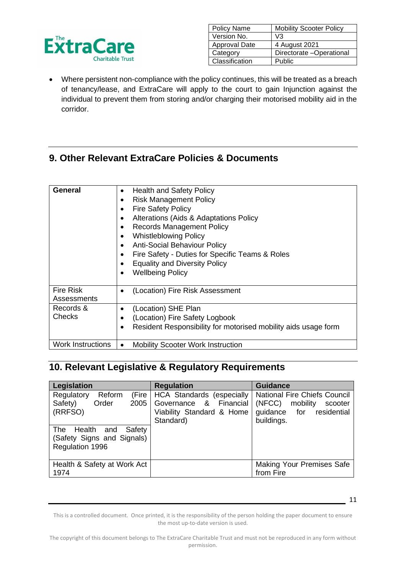

| <b>Policy Name</b>   | <b>Mobility Scooter Policy</b> |
|----------------------|--------------------------------|
| Version No.          | V3                             |
| <b>Approval Date</b> | 4 August 2021                  |
| Category             | Directorate -Operational       |
| Classification       | Public                         |

• Where persistent non-compliance with the policy continues, this will be treated as a breach of tenancy/lease, and ExtraCare will apply to the court to gain Injunction against the individual to prevent them from storing and/or charging their motorised mobility aid in the corridor.

# **9. Other Relevant ExtraCare Policies & Documents**

| <b>General</b>                  | <b>Health and Safety Policy</b><br><b>Risk Management Policy</b><br>$\bullet$<br><b>Fire Safety Policy</b><br>$\bullet$<br>Alterations (Aids & Adaptations Policy<br><b>Records Management Policy</b><br><b>Whistleblowing Policy</b><br><b>Anti-Social Behaviour Policy</b><br>Fire Safety - Duties for Specific Teams & Roles<br><b>Equality and Diversity Policy</b><br><b>Wellbeing Policy</b> |
|---------------------------------|----------------------------------------------------------------------------------------------------------------------------------------------------------------------------------------------------------------------------------------------------------------------------------------------------------------------------------------------------------------------------------------------------|
| <b>Fire Risk</b><br>Assessments | (Location) Fire Risk Assessment                                                                                                                                                                                                                                                                                                                                                                    |
| Records &<br>Checks             | (Location) SHE Plan<br>(Location) Fire Safety Logbook<br>Resident Responsibility for motorised mobility aids usage form                                                                                                                                                                                                                                                                            |
| <b>Work Instructions</b>        | <b>Mobility Scooter Work Instruction</b>                                                                                                                                                                                                                                                                                                                                                           |

# **10. Relevant Legislative & Regulatory Requirements**

| Legislation                                                                         | <b>Regulation</b>                                                                                    | <b>Guidance</b>                                                                                                |
|-------------------------------------------------------------------------------------|------------------------------------------------------------------------------------------------------|----------------------------------------------------------------------------------------------------------------|
| Reform<br>Regulatory<br>(Fire<br>Safety)<br>Order<br>2005<br>(RRFSO)                | <b>HCA Standards (especially</b><br>Governance & Financial<br>Viability Standard & Home<br>Standard) | <b>National Fire Chiefs Council</b><br>(NFCC)<br>mobility<br>scooter<br>guidance for residential<br>buildings. |
| Safety<br>Health and<br><b>The</b><br>(Safety Signs and Signals)<br>Regulation 1996 |                                                                                                      |                                                                                                                |
| Health & Safety at Work Act<br>1974                                                 |                                                                                                      | <b>Making Your Premises Safe</b><br>from Fire                                                                  |

This is a controlled document. Once printed, it is the responsibility of the person holding the paper document to ensure the most up-to-date version is used.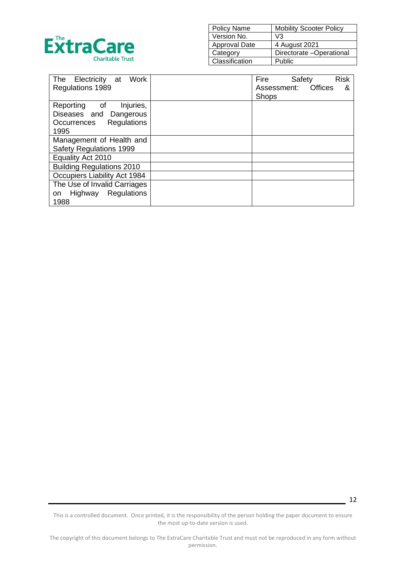

| <b>Policy Name</b>   | <b>Mobility Scooter Policy</b> |
|----------------------|--------------------------------|
| Version No.          | V3                             |
| <b>Approval Date</b> | 4 August 2021                  |
| Category             | Directorate -Operational       |
| Classification       | Public                         |

| <b>Work</b><br>Electricity at<br>The | Fire<br><b>Risk</b><br>Safety |
|--------------------------------------|-------------------------------|
| Regulations 1989                     | Offices<br>Assessment:<br>&   |
|                                      | <b>Shops</b>                  |
| Reporting of<br>Injuries,            |                               |
| Diseases and Dangerous               |                               |
| Regulations<br>Occurrences           |                               |
| 1995                                 |                               |
| Management of Health and             |                               |
| Safety Regulations 1999              |                               |
| Equality Act 2010                    |                               |
| <b>Building Regulations 2010</b>     |                               |
| <b>Occupiers Liability Act 1984</b>  |                               |
| The Use of Invalid Carriages         |                               |
| Regulations<br>Highway<br>on         |                               |
| 1988                                 |                               |

This is a controlled document. Once printed, it is the responsibility of the person holding the paper document to ensure the most up-to-date version is used.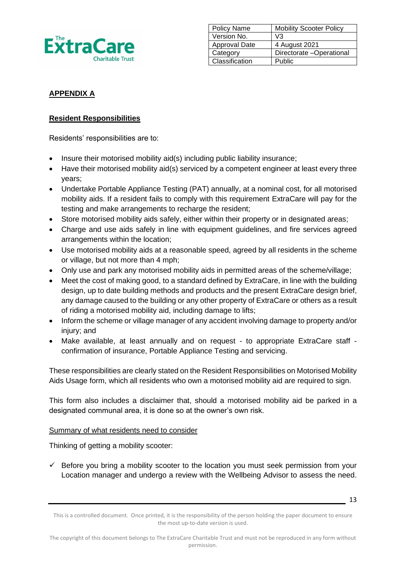

| <b>Policy Name</b> | <b>Mobility Scooter Policy</b> |
|--------------------|--------------------------------|
| Version No.        | V3                             |
| Approval Date      | 4 August 2021                  |
| Category           | Directorate -Operational       |
| Classification     | Public                         |

## **APPENDIX A**

## **Resident Responsibilities**

Residents' responsibilities are to:

- Insure their motorised mobility aid(s) including public liability insurance;
- Have their motorised mobility aid(s) serviced by a competent engineer at least every three years;
- Undertake Portable Appliance Testing (PAT) annually, at a nominal cost, for all motorised mobility aids. If a resident fails to comply with this requirement ExtraCare will pay for the testing and make arrangements to recharge the resident;
- Store motorised mobility aids safely, either within their property or in designated areas;
- Charge and use aids safely in line with equipment guidelines, and fire services agreed arrangements within the location;
- Use motorised mobility aids at a reasonable speed, agreed by all residents in the scheme or village, but not more than 4 mph;
- Only use and park any motorised mobility aids in permitted areas of the scheme/village;
- Meet the cost of making good, to a standard defined by ExtraCare, in line with the building design, up to date building methods and products and the present ExtraCare design brief, any damage caused to the building or any other property of ExtraCare or others as a result of riding a motorised mobility aid, including damage to lifts;
- Inform the scheme or village manager of any accident involving damage to property and/or injury; and
- Make available, at least annually and on request to appropriate ExtraCare staff confirmation of insurance, Portable Appliance Testing and servicing.

These responsibilities are clearly stated on the Resident Responsibilities on Motorised Mobility Aids Usage form, which all residents who own a motorised mobility aid are required to sign.

This form also includes a disclaimer that, should a motorised mobility aid be parked in a designated communal area, it is done so at the owner's own risk.

### Summary of what residents need to consider

Thinking of getting a mobility scooter:

 $\checkmark$  Before you bring a mobility scooter to the location you must seek permission from your Location manager and undergo a review with the Wellbeing Advisor to assess the need.

This is a controlled document. Once printed, it is the responsibility of the person holding the paper document to ensure the most up-to-date version is used.